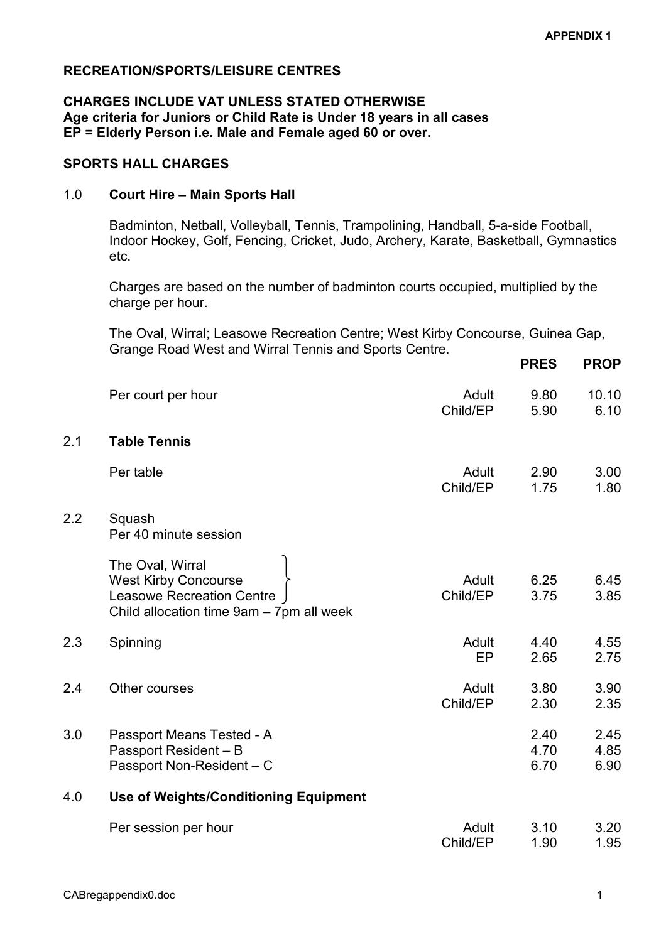# RECREATION/SPORTS/LEISURE CENTRES

### CHARGES INCLUDE VAT UNLESS STATED OTHERWISE Age criteria for Juniors or Child Rate is Under 18 years in all cases EP = Elderly Person i.e. Male and Female aged 60 or over.

### SPORTS HALL CHARGES

### 1.0 Court Hire – Main Sports Hall

 Badminton, Netball, Volleyball, Tennis, Trampolining, Handball, 5-a-side Football, Indoor Hockey, Golf, Fencing, Cricket, Judo, Archery, Karate, Basketball, Gymnastics etc.

 Charges are based on the number of badminton courts occupied, multiplied by the charge per hour.

 The Oval, Wirral; Leasowe Recreation Centre; West Kirby Concourse, Guinea Gap, Grange Road West and Wirral Tennis and Sports Centre.

|     |                                                                                                                                 |                    | <b>PRES</b>          | <b>PROP</b>          |
|-----|---------------------------------------------------------------------------------------------------------------------------------|--------------------|----------------------|----------------------|
|     | Per court per hour                                                                                                              | Adult<br>Child/EP  | 9.80<br>5.90         | 10.10<br>6.10        |
| 2.1 | <b>Table Tennis</b>                                                                                                             |                    |                      |                      |
|     | Per table                                                                                                                       | Adult<br>Child/EP  | 2.90<br>1.75         | 3.00<br>1.80         |
| 2.2 | Squash<br>Per 40 minute session                                                                                                 |                    |                      |                      |
|     | The Oval, Wirral<br><b>West Kirby Concourse</b><br><b>Leasowe Recreation Centre</b><br>Child allocation time 9am - 7pm all week | Adult<br>Child/EP  | 6.25<br>3.75         | 6.45<br>3.85         |
| 2.3 | Spinning                                                                                                                        | Adult<br><b>EP</b> | 4.40<br>2.65         | 4.55<br>2.75         |
| 2.4 | Other courses                                                                                                                   | Adult<br>Child/EP  | 3.80<br>2.30         | 3.90<br>2.35         |
| 3.0 | Passport Means Tested - A<br>Passport Resident - B<br>Passport Non-Resident - C                                                 |                    | 2.40<br>4.70<br>6.70 | 2.45<br>4.85<br>6.90 |
| 4.0 | <b>Use of Weights/Conditioning Equipment</b>                                                                                    |                    |                      |                      |
|     | Per session per hour                                                                                                            | Adult<br>Child/EP  | 3.10<br>1.90         | 3.20<br>1.95         |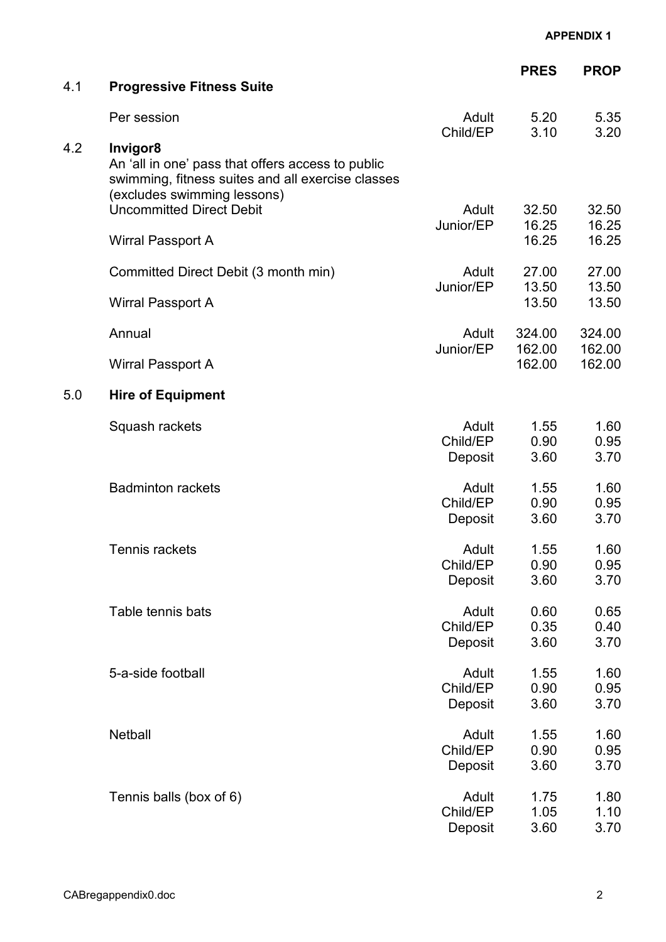| 4.1 | <b>Progressive Fitness Suite</b>                                                                                                                  |                              | <b>PRES</b>             | <b>PROP</b>             |
|-----|---------------------------------------------------------------------------------------------------------------------------------------------------|------------------------------|-------------------------|-------------------------|
|     |                                                                                                                                                   |                              |                         |                         |
|     | Per session                                                                                                                                       | Adult<br>Child/EP            | 5.20<br>3.10            | 5.35<br>3.20            |
| 4.2 | Invigor8<br>An 'all in one' pass that offers access to public<br>swimming, fitness suites and all exercise classes<br>(excludes swimming lessons) |                              |                         |                         |
|     | <b>Uncommitted Direct Debit</b><br>Wirral Passport A                                                                                              | Adult<br>Junior/EP           | 32.50<br>16.25<br>16.25 | 32.50<br>16.25<br>16.25 |
|     | Committed Direct Debit (3 month min)                                                                                                              | Adult                        | 27.00                   | 27.00                   |
|     | Wirral Passport A                                                                                                                                 | Junior/EP                    | 13.50<br>13.50          | 13.50<br>13.50          |
|     | Annual                                                                                                                                            | Adult                        | 324.00                  | 324.00                  |
|     | Wirral Passport A                                                                                                                                 | Junior/EP                    | 162.00<br>162.00        | 162.00<br>162.00        |
| 5.0 | <b>Hire of Equipment</b>                                                                                                                          |                              |                         |                         |
|     | Squash rackets                                                                                                                                    | Adult<br>Child/EP<br>Deposit | 1.55<br>0.90<br>3.60    | 1.60<br>0.95<br>3.70    |
|     | <b>Badminton rackets</b>                                                                                                                          | Adult<br>Child/EP<br>Deposit | 1.55<br>0.90<br>3.60    | 1.60<br>0.95<br>3.70    |
|     | Tennis rackets                                                                                                                                    | Adult<br>Child/EP<br>Deposit | 1.55<br>0.90<br>3.60    | 1.60<br>0.95<br>3.70    |
|     | Table tennis bats                                                                                                                                 | Adult<br>Child/EP<br>Deposit | 0.60<br>0.35<br>3.60    | 0.65<br>0.40<br>3.70    |
|     | 5-a-side football                                                                                                                                 | Adult<br>Child/EP<br>Deposit | 1.55<br>0.90<br>3.60    | 1.60<br>0.95<br>3.70    |
|     | Netball                                                                                                                                           | Adult<br>Child/EP<br>Deposit | 1.55<br>0.90<br>3.60    | 1.60<br>0.95<br>3.70    |
|     | Tennis balls (box of 6)                                                                                                                           | Adult<br>Child/EP<br>Deposit | 1.75<br>1.05<br>3.60    | 1.80<br>1.10<br>3.70    |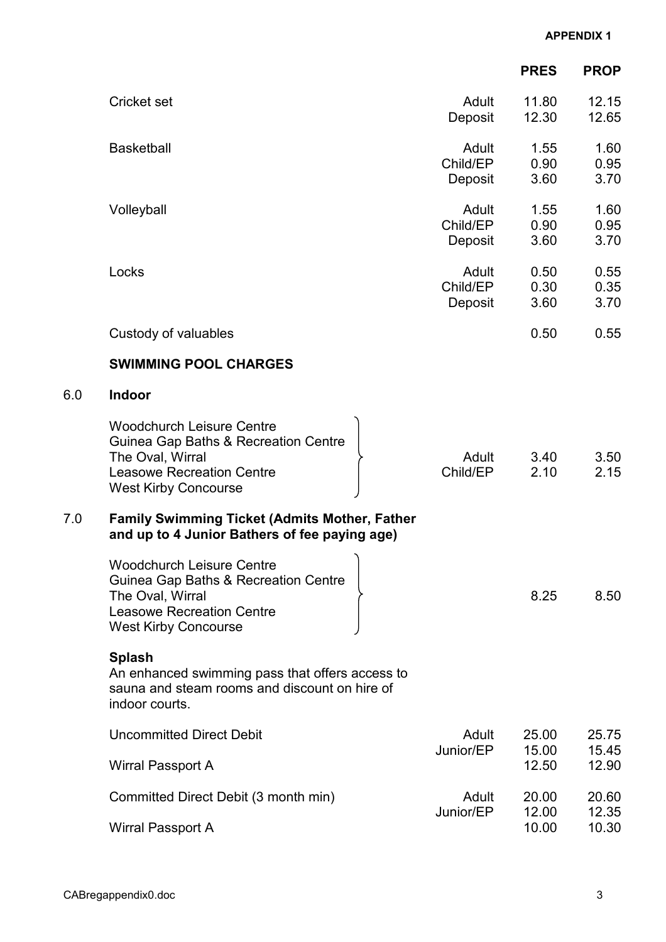|     |                                                                                                                                                                 |                              | <b>PRES</b>          | <b>PROP</b>          |
|-----|-----------------------------------------------------------------------------------------------------------------------------------------------------------------|------------------------------|----------------------|----------------------|
|     | <b>Cricket set</b>                                                                                                                                              | Adult<br>Deposit             | 11.80<br>12.30       | 12.15<br>12.65       |
|     | <b>Basketball</b>                                                                                                                                               | Adult<br>Child/EP<br>Deposit | 1.55<br>0.90<br>3.60 | 1.60<br>0.95<br>3.70 |
|     | Volleyball                                                                                                                                                      | Adult<br>Child/EP<br>Deposit | 1.55<br>0.90<br>3.60 | 1.60<br>0.95<br>3.70 |
|     | Locks                                                                                                                                                           | Adult<br>Child/EP<br>Deposit | 0.50<br>0.30<br>3.60 | 0.55<br>0.35<br>3.70 |
|     | Custody of valuables                                                                                                                                            |                              | 0.50                 | 0.55                 |
|     | <b>SWIMMING POOL CHARGES</b>                                                                                                                                    |                              |                      |                      |
| 6.0 | Indoor                                                                                                                                                          |                              |                      |                      |
|     | <b>Woodchurch Leisure Centre</b><br>Guinea Gap Baths & Recreation Centre<br>The Oval, Wirral<br><b>Leasowe Recreation Centre</b><br><b>West Kirby Concourse</b> | Adult<br>Child/EP            | 3.40<br>2.10         | 3.50<br>2.15         |
| 7.0 | <b>Family Swimming Ticket (Admits Mother, Father</b><br>and up to 4 Junior Bathers of fee paying age)                                                           |                              |                      |                      |
|     | <b>Woodchurch Leisure Centre</b><br>Guinea Gap Baths & Recreation Centre<br>The Oval, Wirral<br><b>Leasowe Recreation Centre</b><br><b>West Kirby Concourse</b> |                              | 8.25                 | 8.50                 |
|     | <b>Splash</b><br>An enhanced swimming pass that offers access to<br>sauna and steam rooms and discount on hire of<br>indoor courts.                             |                              |                      |                      |
|     | <b>Uncommitted Direct Debit</b>                                                                                                                                 | Adult<br>Junior/EP           | 25.00<br>15.00       | 25.75                |
|     | Wirral Passport A                                                                                                                                               |                              | 12.50                | 15.45<br>12.90       |
|     | Committed Direct Debit (3 month min)                                                                                                                            | Adult                        | 20.00<br>12.00       | 20.60<br>12.35       |
|     | <b>Wirral Passport A</b>                                                                                                                                        | Junior/EP                    | 10.00                | 10.30                |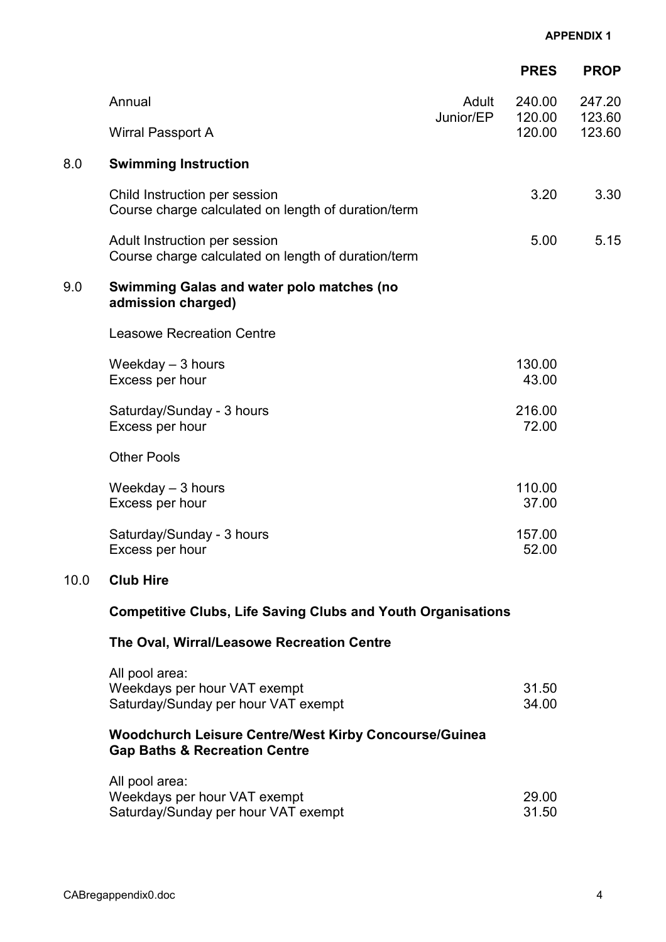|      |                                                                                      |                    | <b>PRES</b>      | <b>PROP</b>      |
|------|--------------------------------------------------------------------------------------|--------------------|------------------|------------------|
|      | Annual                                                                               | Adult<br>Junior/EP | 240.00<br>120.00 | 247.20<br>123.60 |
|      | Wirral Passport A                                                                    |                    | 120.00           | 123.60           |
| 8.0  | <b>Swimming Instruction</b>                                                          |                    |                  |                  |
|      | Child Instruction per session<br>Course charge calculated on length of duration/term |                    | 3.20             | 3.30             |
|      | Adult Instruction per session<br>Course charge calculated on length of duration/term |                    | 5.00             | 5.15             |
| 9.0  | <b>Swimming Galas and water polo matches (no</b><br>admission charged)               |                    |                  |                  |
|      | <b>Leasowe Recreation Centre</b>                                                     |                    |                  |                  |
|      | Weekday $-3$ hours<br>Excess per hour                                                |                    | 130.00<br>43.00  |                  |
|      | Saturday/Sunday - 3 hours<br>Excess per hour                                         |                    | 216.00<br>72.00  |                  |
|      | <b>Other Pools</b>                                                                   |                    |                  |                  |
|      | Weekday $-3$ hours<br>Excess per hour                                                |                    | 110.00<br>37.00  |                  |
|      | Saturday/Sunday - 3 hours<br>Excess per hour                                         |                    | 157.00<br>52.00  |                  |
| 10.0 | <b>Club Hire</b>                                                                     |                    |                  |                  |

# Competitive Clubs, Life Saving Clubs and Youth Organisations

# The Oval, Wirral/Leasowe Recreation Centre

| All pool area:                      |       |
|-------------------------------------|-------|
| Weekdays per hour VAT exempt        | 31.50 |
| Saturday/Sunday per hour VAT exempt | 34.00 |

# Woodchurch Leisure Centre/West Kirby Concourse/Guinea Gap Baths & Recreation Centre

| All pool area:                      |       |
|-------------------------------------|-------|
| Weekdays per hour VAT exempt        | 29.00 |
| Saturday/Sunday per hour VAT exempt | 31.50 |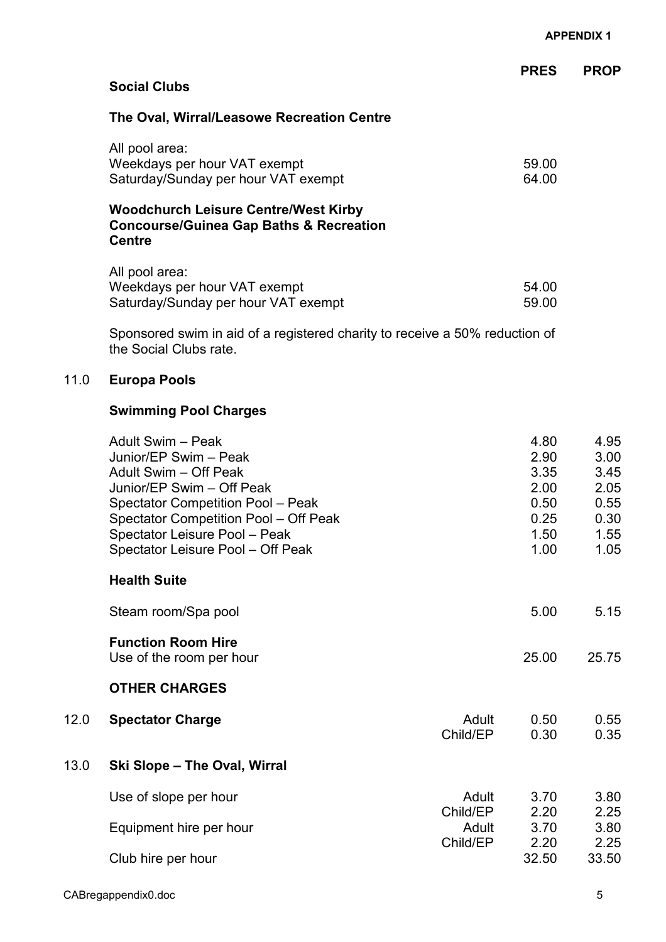|                                                                                                                    | <b>PRES</b> | <b>PROP</b> |
|--------------------------------------------------------------------------------------------------------------------|-------------|-------------|
| <b>Social Clubs</b>                                                                                                |             |             |
| The Oval, Wirral/Leasowe Recreation Centre                                                                         |             |             |
| All pool area:                                                                                                     |             |             |
| Weekdays per hour VAT exempt                                                                                       | 59.00       |             |
| Saturday/Sunday per hour VAT exempt                                                                                | 64.00       |             |
| <b>Woodchurch Leisure Centre/West Kirby</b><br><b>Concourse/Guinea Gap Baths &amp; Recreation</b><br><b>Centre</b> |             |             |
| All pool area:                                                                                                     |             |             |
| Weekdays per hour VAT exempt                                                                                       | 54.00       |             |
| Saturday/Sunday per hour VAT exempt                                                                                | 59.00       |             |
| Sponsored swim in aid of a registered charity to receive a 50% reduction of                                        |             |             |

11.0 Europa Pools

# Swimming Pool Charges

the Social Clubs rate.

|      | Adult Swim - Peak<br>Junior/EP Swim - Peak<br>Adult Swim - Off Peak<br>Junior/EP Swim - Off Peak<br><b>Spectator Competition Pool - Peak</b><br>Spectator Competition Pool - Off Peak<br>Spectator Leisure Pool - Peak<br>Spectator Leisure Pool - Off Peak |                   | 4.80<br>2.90<br>3.35<br>2.00<br>0.50<br>0.25<br>1.50<br>1.00 | 4.95<br>3.00<br>3.45<br>2.05<br>0.55<br>0.30<br>1.55<br>1.05 |
|------|-------------------------------------------------------------------------------------------------------------------------------------------------------------------------------------------------------------------------------------------------------------|-------------------|--------------------------------------------------------------|--------------------------------------------------------------|
|      | <b>Health Suite</b>                                                                                                                                                                                                                                         |                   |                                                              |                                                              |
|      | Steam room/Spa pool                                                                                                                                                                                                                                         |                   | 5.00                                                         | 5.15                                                         |
|      | <b>Function Room Hire</b><br>Use of the room per hour                                                                                                                                                                                                       |                   | 25.00                                                        | 25.75                                                        |
|      | <b>OTHER CHARGES</b>                                                                                                                                                                                                                                        |                   |                                                              |                                                              |
| 12.0 | <b>Spectator Charge</b>                                                                                                                                                                                                                                     | Adult<br>Child/EP | 0.50<br>0.30                                                 | 0.55<br>0.35                                                 |
| 13.0 | Ski Slope - The Oval, Wirral                                                                                                                                                                                                                                |                   |                                                              |                                                              |
|      | Use of slope per hour                                                                                                                                                                                                                                       | Adult             | 3.70                                                         | 3.80                                                         |
|      | Equipment hire per hour                                                                                                                                                                                                                                     | Child/EP<br>Adult | 2.20<br>3.70                                                 | 2.25<br>3.80                                                 |
|      | Club hire per hour                                                                                                                                                                                                                                          | Child/EP          | 2.20<br>32.50                                                | 2.25<br>33.50                                                |
|      |                                                                                                                                                                                                                                                             |                   |                                                              |                                                              |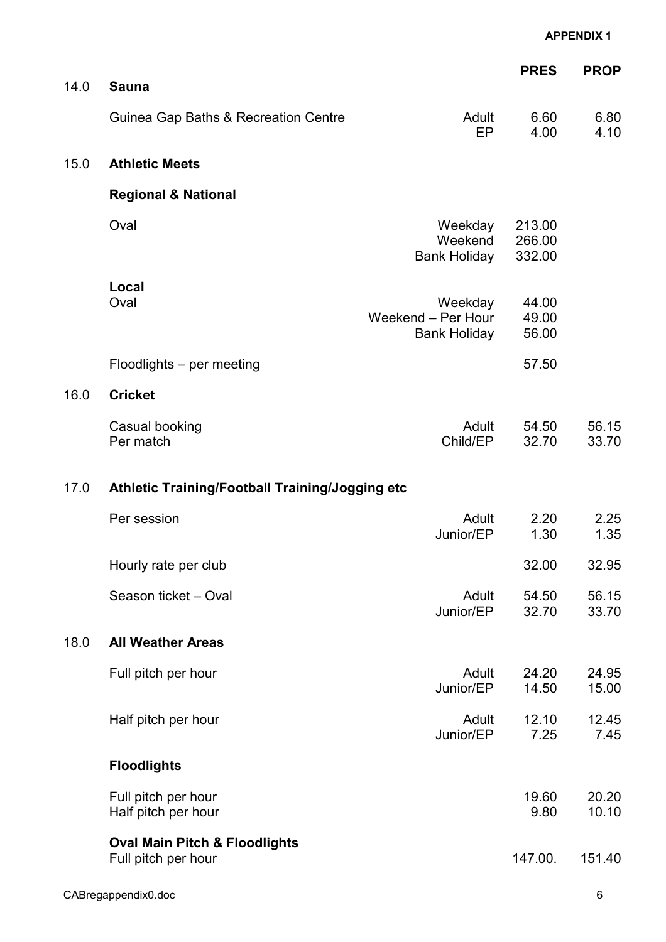|      |                                                                 |                                                      | <b>PRES</b>                | <b>PROP</b>    |
|------|-----------------------------------------------------------------|------------------------------------------------------|----------------------------|----------------|
| 14.0 | <b>Sauna</b>                                                    |                                                      |                            |                |
|      | Guinea Gap Baths & Recreation Centre                            | Adult<br><b>EP</b>                                   | 6.60<br>4.00               | 6.80<br>4.10   |
| 15.0 | <b>Athletic Meets</b>                                           |                                                      |                            |                |
|      | <b>Regional &amp; National</b>                                  |                                                      |                            |                |
|      | Oval                                                            | Weekday<br>Weekend<br><b>Bank Holiday</b>            | 213.00<br>266.00<br>332.00 |                |
|      | Local<br>Oval                                                   | Weekday<br>Weekend - Per Hour<br><b>Bank Holiday</b> | 44.00<br>49.00<br>56.00    |                |
|      | Floodlights - per meeting                                       |                                                      | 57.50                      |                |
| 16.0 | <b>Cricket</b>                                                  |                                                      |                            |                |
|      | Casual booking<br>Per match                                     | Adult<br>Child/EP                                    | 54.50<br>32.70             | 56.15<br>33.70 |
| 17.0 | Athletic Training/Football Training/Jogging etc                 |                                                      |                            |                |
|      | Per session                                                     | Adult<br>Junior/EP                                   | 2.20<br>1.30               | 2.25<br>1.35   |
|      | Hourly rate per club                                            |                                                      | 32.00                      | 32.95          |
|      | Season ticket - Oval                                            | Adult<br>Junior/EP                                   | 54.50<br>32.70             | 56.15<br>33.70 |
| 18.0 | <b>All Weather Areas</b>                                        |                                                      |                            |                |
|      | Full pitch per hour                                             | Adult<br>Junior/EP                                   | 24.20<br>14.50             | 24.95<br>15.00 |
|      | Half pitch per hour                                             | Adult<br>Junior/EP                                   | 12.10<br>7.25              | 12.45<br>7.45  |
|      | <b>Floodlights</b>                                              |                                                      |                            |                |
|      | Full pitch per hour<br>Half pitch per hour                      |                                                      | 19.60<br>9.80              | 20.20<br>10.10 |
|      | <b>Oval Main Pitch &amp; Floodlights</b><br>Full pitch per hour |                                                      | 147.00.                    | 151.40         |
|      | CABregappendix0.doc                                             |                                                      |                            | 6              |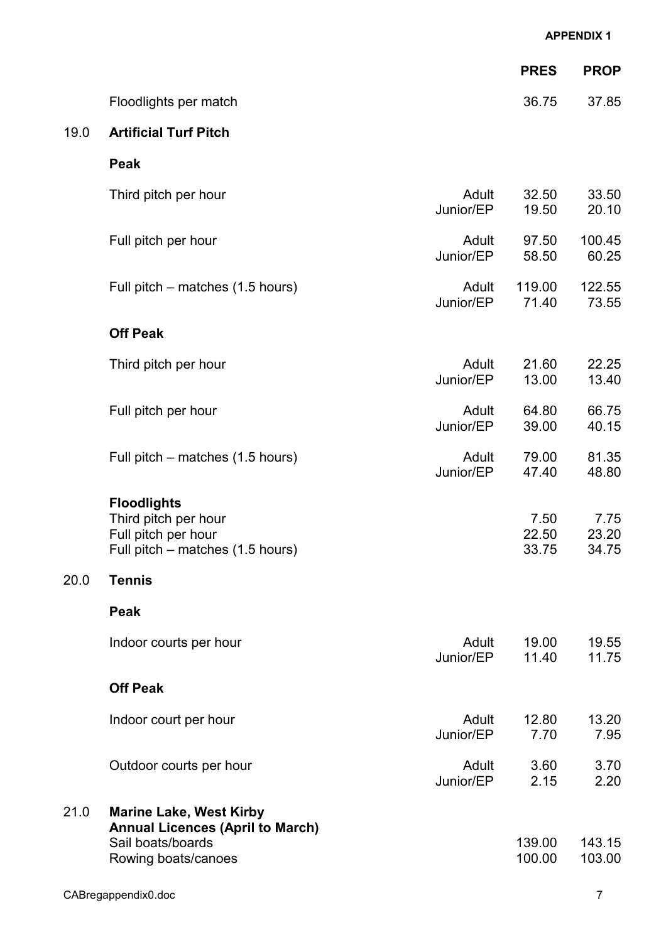|      |                                                                                                                       |                    | <b>APPENDIX 1</b>      |                        |
|------|-----------------------------------------------------------------------------------------------------------------------|--------------------|------------------------|------------------------|
|      |                                                                                                                       |                    | <b>PRES</b>            | <b>PROP</b>            |
|      | Floodlights per match                                                                                                 |                    | 36.75                  | 37.85                  |
| 19.0 | <b>Artificial Turf Pitch</b>                                                                                          |                    |                        |                        |
|      | <b>Peak</b>                                                                                                           |                    |                        |                        |
|      | Third pitch per hour                                                                                                  | Adult<br>Junior/EP | 32.50<br>19.50         | 33.50<br>20.10         |
|      | Full pitch per hour                                                                                                   | Adult<br>Junior/EP | 97.50<br>58.50         | 100.45<br>60.25        |
|      | Full pitch – matches (1.5 hours)                                                                                      | Adult<br>Junior/EP | 119.00<br>71.40        | 122.55<br>73.55        |
|      | <b>Off Peak</b>                                                                                                       |                    |                        |                        |
|      | Third pitch per hour                                                                                                  | Adult<br>Junior/EP | 21.60<br>13.00         | 22.25<br>13.40         |
|      | Full pitch per hour                                                                                                   | Adult<br>Junior/EP | 64.80<br>39.00         | 66.75<br>40.15         |
|      | Full pitch – matches (1.5 hours)                                                                                      | Adult<br>Junior/EP | 79.00<br>47.40         | 81.35<br>48.80         |
|      | <b>Floodlights</b><br>Third pitch per hour<br>Full pitch per hour<br>Full pitch – matches (1.5 hours)                 |                    | 7.50<br>22.50<br>33.75 | 7.75<br>23.20<br>34.75 |
| 20.0 | <b>Tennis</b>                                                                                                         |                    |                        |                        |
|      | <b>Peak</b>                                                                                                           |                    |                        |                        |
|      | Indoor courts per hour                                                                                                | Adult<br>Junior/EP | 19.00<br>11.40         | 19.55<br>11.75         |
|      | <b>Off Peak</b>                                                                                                       |                    |                        |                        |
|      | Indoor court per hour                                                                                                 | Adult<br>Junior/EP | 12.80<br>7.70          | 13.20<br>7.95          |
|      | Outdoor courts per hour                                                                                               | Adult<br>Junior/EP | 3.60<br>2.15           | 3.70<br>2.20           |
| 21.0 | <b>Marine Lake, West Kirby</b><br><b>Annual Licences (April to March)</b><br>Sail boats/boards<br>Rowing boats/canoes |                    | 139.00<br>100.00       | 143.15<br>103.00       |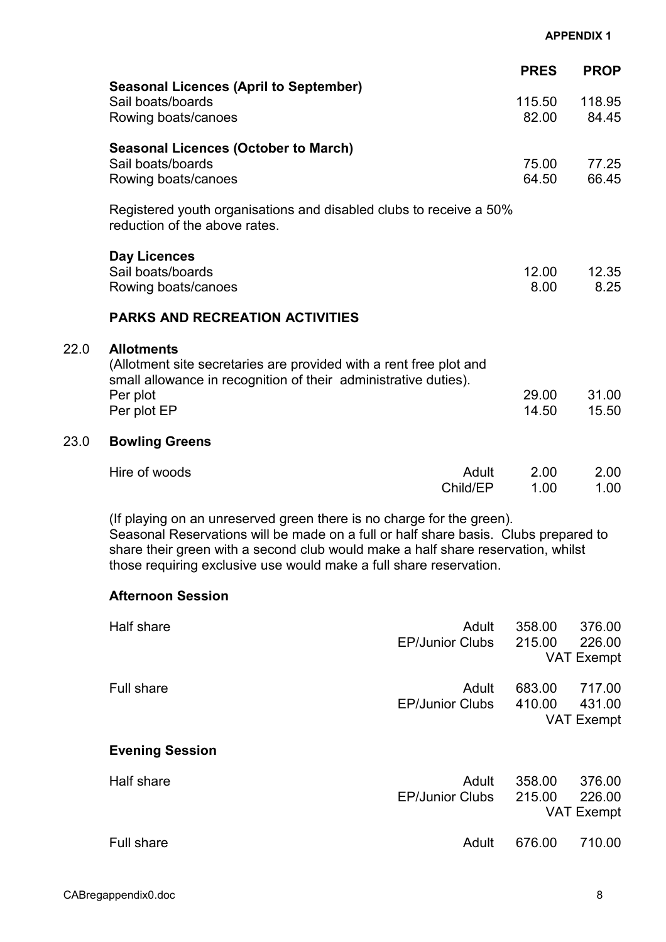|      | <b>Seasonal Licences (April to September)</b>                                                                                                                                                                                                                                                                          |                                 | <b>PRES</b>      | <b>PROP</b>                           |
|------|------------------------------------------------------------------------------------------------------------------------------------------------------------------------------------------------------------------------------------------------------------------------------------------------------------------------|---------------------------------|------------------|---------------------------------------|
|      | Sail boats/boards<br>Rowing boats/canoes                                                                                                                                                                                                                                                                               |                                 | 115.50<br>82.00  | 118.95<br>84.45                       |
|      | <b>Seasonal Licences (October to March)</b><br>Sail boats/boards<br>Rowing boats/canoes                                                                                                                                                                                                                                |                                 | 75.00<br>64.50   | 77.25<br>66.45                        |
|      | Registered youth organisations and disabled clubs to receive a 50%<br>reduction of the above rates.                                                                                                                                                                                                                    |                                 |                  |                                       |
|      | <b>Day Licences</b><br>Sail boats/boards<br>Rowing boats/canoes                                                                                                                                                                                                                                                        |                                 | 12.00<br>8.00    | 12.35<br>8.25                         |
|      | <b>PARKS AND RECREATION ACTIVITIES</b>                                                                                                                                                                                                                                                                                 |                                 |                  |                                       |
| 22.0 | <b>Allotments</b><br>(Allotment site secretaries are provided with a rent free plot and<br>small allowance in recognition of their administrative duties).<br>Per plot<br>Per plot EP                                                                                                                                  |                                 | 29.00<br>14.50   | 31.00<br>15.50                        |
| 23.0 | <b>Bowling Greens</b>                                                                                                                                                                                                                                                                                                  |                                 |                  |                                       |
|      | Hire of woods                                                                                                                                                                                                                                                                                                          | Adult<br>Child/EP               | 2.00<br>1.00     | 2.00<br>1.00                          |
|      | (If playing on an unreserved green there is no charge for the green).<br>Seasonal Reservations will be made on a full or half share basis. Clubs prepared to<br>share their green with a second club would make a half share reservation, whilst<br>those requiring exclusive use would make a full share reservation. |                                 |                  |                                       |
|      | <b>Afternoon Session</b>                                                                                                                                                                                                                                                                                               |                                 |                  |                                       |
|      | <b>Half share</b>                                                                                                                                                                                                                                                                                                      | Adult<br><b>EP/Junior Clubs</b> | 358.00<br>215.00 | 376.00<br>226.00<br><b>VAT Exempt</b> |
|      | <b>Full share</b>                                                                                                                                                                                                                                                                                                      | Adult<br><b>EP/Junior Clubs</b> | 683.00<br>410.00 | 717.00<br>431.00<br><b>VAT Exempt</b> |
|      | <b>Evening Session</b>                                                                                                                                                                                                                                                                                                 |                                 |                  |                                       |
|      | Half share                                                                                                                                                                                                                                                                                                             | Adult<br><b>EP/Junior Clubs</b> | 358.00<br>215.00 | 376.00<br>226.00<br><b>VAT Exempt</b> |
|      | Full share                                                                                                                                                                                                                                                                                                             | Adult                           | 676.00           | 710.00                                |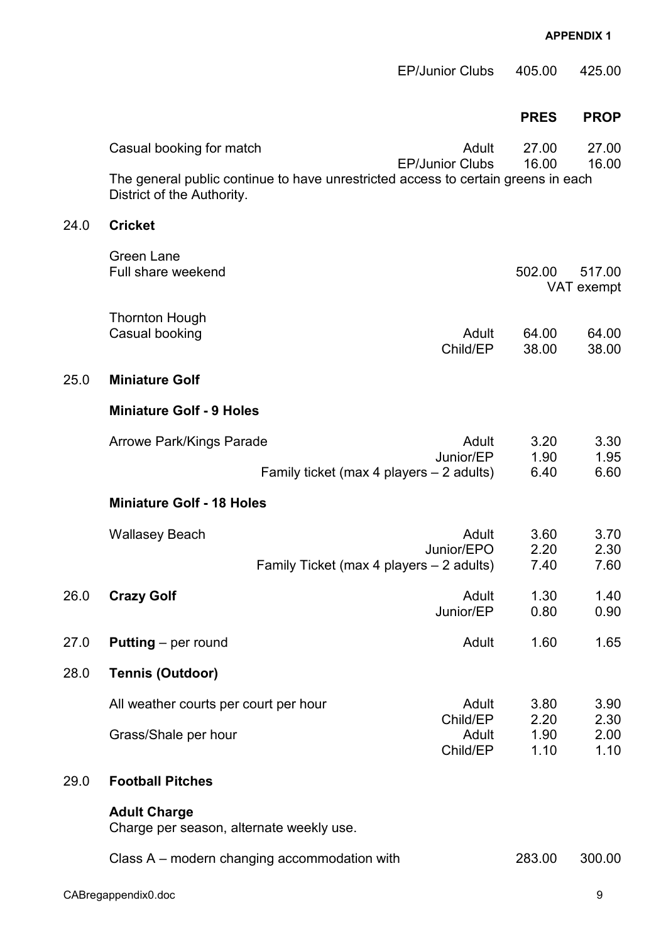|      |                                                                                                                 | <b>EP/Junior Clubs</b> | 405.00               | 425.00               |
|------|-----------------------------------------------------------------------------------------------------------------|------------------------|----------------------|----------------------|
|      |                                                                                                                 |                        | <b>PRES</b>          | <b>PROP</b>          |
|      | Casual booking for match                                                                                        | Adult                  | 27.00                | 27.00                |
|      | The general public continue to have unrestricted access to certain greens in each<br>District of the Authority. | <b>EP/Junior Clubs</b> | 16.00                | 16.00                |
| 24.0 | <b>Cricket</b>                                                                                                  |                        |                      |                      |
|      | <b>Green Lane</b><br>Full share weekend                                                                         |                        | 502.00               | 517.00<br>VAT exempt |
|      | <b>Thornton Hough</b><br>Casual booking                                                                         | Adult<br>Child/EP      | 64.00<br>38.00       | 64.00<br>38.00       |
| 25.0 | <b>Miniature Golf</b>                                                                                           |                        |                      |                      |
|      | <b>Miniature Golf - 9 Holes</b>                                                                                 |                        |                      |                      |
|      | <b>Arrowe Park/Kings Parade</b><br>Family ticket (max 4 players – 2 adults)                                     | Adult<br>Junior/EP     | 3.20<br>1.90<br>6.40 | 3.30<br>1.95<br>6.60 |
|      | <b>Miniature Golf - 18 Holes</b>                                                                                |                        |                      |                      |
|      | <b>Wallasey Beach</b><br>Family Ticket (max 4 players - 2 adults)                                               | Adult<br>Junior/EPO    | 3.60<br>2.20<br>7.40 | 3.70<br>2.30<br>7.60 |
| 26.0 | <b>Crazy Golf</b>                                                                                               | Adult<br>Junior/EP     | 1.30<br>0.80         | 1.40<br>0.90         |
| 27.0 | <b>Putting</b> – per round                                                                                      | Adult                  | 1.60                 | 1.65                 |
| 28.0 | <b>Tennis (Outdoor)</b>                                                                                         |                        |                      |                      |
|      | All weather courts per court per hour                                                                           | Adult<br>Child/EP      | 3.80<br>2.20         | 3.90<br>2.30         |
|      | Grass/Shale per hour                                                                                            | Adult<br>Child/EP      | 1.90<br>1.10         | 2.00<br>1.10         |
| 29.0 | <b>Football Pitches</b>                                                                                         |                        |                      |                      |
|      | <b>Adult Charge</b><br>Charge per season, alternate weekly use.                                                 |                        |                      |                      |
|      | Class A – modern changing accommodation with                                                                    |                        | 283.00               | 300.00               |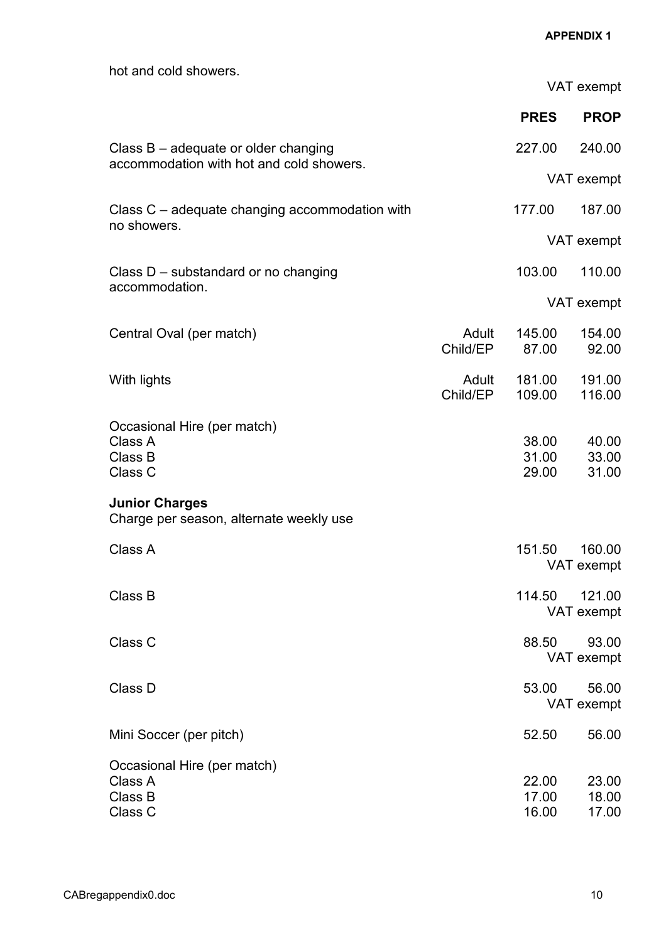| hot and cold showers.                                            |                   |                         | VAT exempt              |
|------------------------------------------------------------------|-------------------|-------------------------|-------------------------|
|                                                                  |                   | <b>PRES</b>             | <b>PROP</b>             |
| Class $B - a$ dequate or older changing                          |                   | 227.00                  | 240.00                  |
| accommodation with hot and cold showers.                         |                   |                         | VAT exempt              |
| Class C – adequate changing accommodation with                   |                   | 177.00                  | 187.00                  |
| no showers.                                                      |                   |                         | VAT exempt              |
| Class D – substandard or no changing                             |                   | 103.00                  | 110.00                  |
| accommodation.                                                   |                   |                         | VAT exempt              |
| Central Oval (per match)                                         | Adult<br>Child/EP | 145.00<br>87.00         | 154.00<br>92.00         |
| With lights                                                      | Adult<br>Child/EP | 181.00<br>109.00        | 191.00<br>116.00        |
| Occasional Hire (per match)<br>Class A<br>Class B<br>Class C     |                   | 38.00<br>31.00<br>29.00 | 40.00<br>33.00<br>31.00 |
| <b>Junior Charges</b><br>Charge per season, alternate weekly use |                   |                         |                         |
| Class A                                                          |                   | 151.50                  | 160.00<br>VAT exempt    |
| Class B                                                          |                   | 114.50                  | 121.00<br>VAT exempt    |
| Class C                                                          |                   | 88.50                   | 93.00<br>VAT exempt     |
| Class D                                                          |                   | 53.00                   | 56.00<br>VAT exempt     |
| Mini Soccer (per pitch)                                          |                   | 52.50                   | 56.00                   |
| Occasional Hire (per match)<br>Class A<br>Class B<br>Class C     |                   | 22.00<br>17.00<br>16.00 | 23.00<br>18.00<br>17.00 |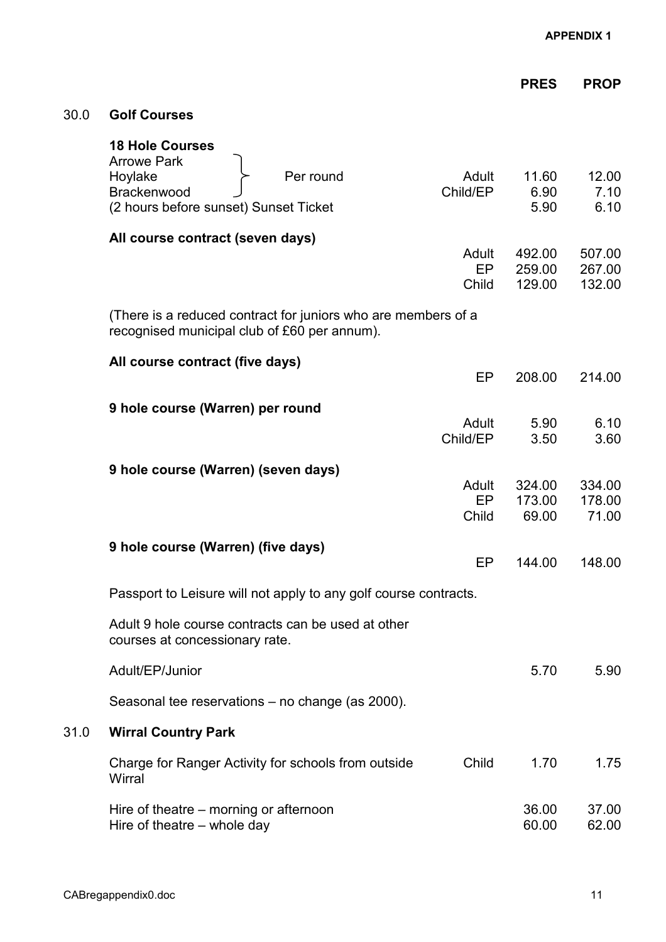|      |                                                                                                                              |                      | <b>PRES</b>                | <b>PROP</b>                |
|------|------------------------------------------------------------------------------------------------------------------------------|----------------------|----------------------------|----------------------------|
| 30.0 | <b>Golf Courses</b>                                                                                                          |                      |                            |                            |
|      | <b>18 Hole Courses</b><br><b>Arrowe Park</b><br>Hoylake<br>Per round<br>Brackenwood<br>(2 hours before sunset) Sunset Ticket | Adult<br>Child/EP    | 11.60<br>6.90<br>5.90      | 12.00<br>7.10<br>6.10      |
|      | All course contract (seven days)                                                                                             | Adult<br>EP<br>Child | 492.00<br>259.00<br>129.00 | 507.00<br>267.00<br>132.00 |
|      | (There is a reduced contract for juniors who are members of a<br>recognised municipal club of £60 per annum).                |                      |                            |                            |
|      | All course contract (five days)                                                                                              | EP                   | 208.00                     | 214.00                     |
|      | 9 hole course (Warren) per round                                                                                             | Adult<br>Child/EP    | 5.90<br>3.50               | 6.10<br>3.60               |
|      | 9 hole course (Warren) (seven days)                                                                                          | Adult<br>EP<br>Child | 324.00<br>173.00<br>69.00  | 334.00<br>178.00<br>71.00  |
|      | 9 hole course (Warren) (five days)                                                                                           | EP                   | 144.00                     | 148.00                     |
|      | Passport to Leisure will not apply to any golf course contracts.                                                             |                      |                            |                            |
|      | Adult 9 hole course contracts can be used at other<br>courses at concessionary rate.                                         |                      |                            |                            |
|      | Adult/EP/Junior                                                                                                              |                      | 5.70                       | 5.90                       |
|      | Seasonal tee reservations - no change (as 2000).                                                                             |                      |                            |                            |
| 31.0 | <b>Wirral Country Park</b>                                                                                                   |                      |                            |                            |
|      | Charge for Ranger Activity for schools from outside<br>Wirral                                                                | Child                | 1.70                       | 1.75                       |
|      | Hire of theatre – morning or afternoon<br>Hire of theatre - whole day                                                        |                      | 36.00<br>60.00             | 37.00<br>62.00             |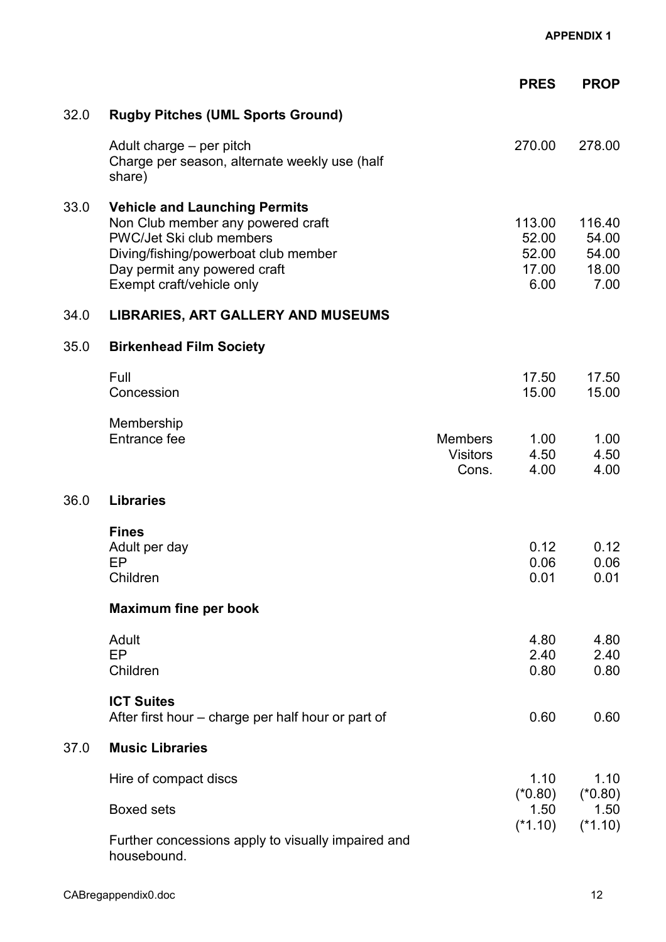|      |                                                                                                                                                                                                            |                                            | <b>PRES</b>                               | <b>PROP</b>                               |
|------|------------------------------------------------------------------------------------------------------------------------------------------------------------------------------------------------------------|--------------------------------------------|-------------------------------------------|-------------------------------------------|
| 32.0 | <b>Rugby Pitches (UML Sports Ground)</b>                                                                                                                                                                   |                                            |                                           |                                           |
|      | Adult charge – per pitch<br>Charge per season, alternate weekly use (half<br>share)                                                                                                                        |                                            | 270.00                                    | 278.00                                    |
| 33.0 | <b>Vehicle and Launching Permits</b><br>Non Club member any powered craft<br>PWC/Jet Ski club members<br>Diving/fishing/powerboat club member<br>Day permit any powered craft<br>Exempt craft/vehicle only |                                            | 113.00<br>52.00<br>52.00<br>17.00<br>6.00 | 116.40<br>54.00<br>54.00<br>18.00<br>7.00 |
| 34.0 | LIBRARIES, ART GALLERY AND MUSEUMS                                                                                                                                                                         |                                            |                                           |                                           |
| 35.0 | <b>Birkenhead Film Society</b>                                                                                                                                                                             |                                            |                                           |                                           |
|      | Full<br>Concession                                                                                                                                                                                         |                                            | 17.50<br>15.00                            | 17.50<br>15.00                            |
|      | Membership<br>Entrance fee                                                                                                                                                                                 | <b>Members</b><br><b>Visitors</b><br>Cons. | 1.00<br>4.50<br>4.00                      | 1.00<br>4.50<br>4.00                      |
| 36.0 | <b>Libraries</b>                                                                                                                                                                                           |                                            |                                           |                                           |
|      | <b>Fines</b><br>Adult per day<br>EP<br>Children                                                                                                                                                            |                                            | 0.12<br>0.06<br>0.01                      | 0.12<br>0.06<br>0.01                      |
|      | <b>Maximum fine per book</b>                                                                                                                                                                               |                                            |                                           |                                           |
|      | Adult<br>EP<br>Children                                                                                                                                                                                    |                                            | 4.80<br>2.40<br>0.80                      | 4.80<br>2.40<br>0.80                      |
|      | <b>ICT Suites</b><br>After first hour – charge per half hour or part of                                                                                                                                    |                                            | 0.60                                      | 0.60                                      |
| 37.0 | <b>Music Libraries</b>                                                                                                                                                                                     |                                            |                                           |                                           |
|      | Hire of compact discs                                                                                                                                                                                      |                                            | 1.10<br>$(*0.80)$                         | 1.10<br>$(*0.80)$                         |
|      | <b>Boxed sets</b>                                                                                                                                                                                          |                                            | 1.50<br>$(*1.10)$                         | 1.50<br>$(*1.10)$                         |
|      | Further concessions apply to visually impaired and<br>housebound.                                                                                                                                          |                                            |                                           |                                           |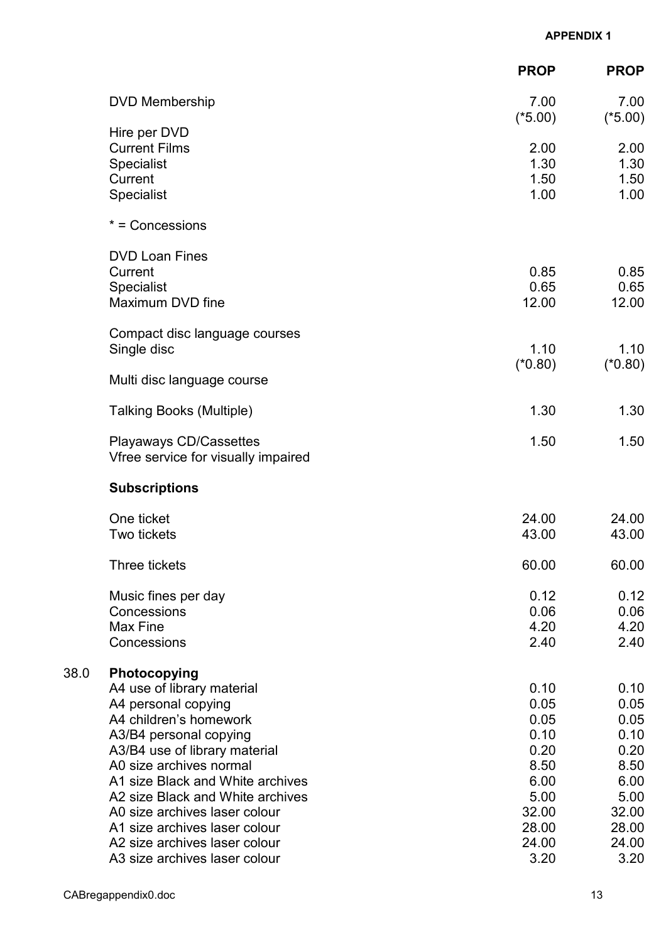|      |                                                               | <b>PROP</b>       | <b>PROP</b>       |
|------|---------------------------------------------------------------|-------------------|-------------------|
|      | <b>DVD Membership</b>                                         | 7.00<br>$(*5.00)$ | 7.00<br>$(*5.00)$ |
|      | Hire per DVD                                                  |                   |                   |
|      | <b>Current Films</b>                                          | 2.00<br>1.30      | 2.00<br>1.30      |
|      | <b>Specialist</b><br>Current                                  | 1.50              | 1.50              |
|      | <b>Specialist</b>                                             | 1.00              | 1.00              |
|      | * = Concessions                                               |                   |                   |
|      | <b>DVD Loan Fines</b>                                         |                   |                   |
|      | Current                                                       | 0.85              | 0.85              |
|      | <b>Specialist</b>                                             | 0.65              | 0.65              |
|      | Maximum DVD fine                                              | 12.00             | 12.00             |
|      | Compact disc language courses                                 |                   |                   |
|      | Single disc                                                   | 1.10              | 1.10              |
|      | Multi disc language course                                    | $(*0.80)$         | $(*0.80)$         |
|      | <b>Talking Books (Multiple)</b>                               | 1.30              | 1.30              |
|      | Playaways CD/Cassettes<br>Vfree service for visually impaired | 1.50              | 1.50              |
|      | <b>Subscriptions</b>                                          |                   |                   |
|      | One ticket                                                    | 24.00             | 24.00             |
|      | Two tickets                                                   | 43.00             | 43.00             |
|      | Three tickets                                                 | 60.00             | 60.00             |
|      | Music fines per day                                           | 0.12              | 0.12              |
|      | Concessions                                                   | 0.06              | 0.06              |
|      | Max Fine                                                      | 4.20              | 4.20              |
|      | Concessions                                                   | 2.40              | 2.40              |
| 38.0 | Photocopying                                                  |                   |                   |
|      | A4 use of library material                                    | 0.10              | 0.10              |
|      | A4 personal copying                                           | 0.05              | 0.05              |
|      | A4 children's homework                                        | 0.05              | 0.05              |
|      | A3/B4 personal copying                                        | 0.10<br>0.20      | 0.10<br>0.20      |
|      | A3/B4 use of library material<br>A0 size archives normal      | 8.50              | 8.50              |
|      | A1 size Black and White archives                              | 6.00              | 6.00              |
|      | A2 size Black and White archives                              | 5.00              | 5.00              |
|      | A0 size archives laser colour                                 | 32.00             | 32.00             |
|      | A1 size archives laser colour                                 | 28.00             | 28.00             |
|      | A2 size archives laser colour                                 | 24.00             | 24.00             |
|      | A3 size archives laser colour                                 | 3.20              | 3.20              |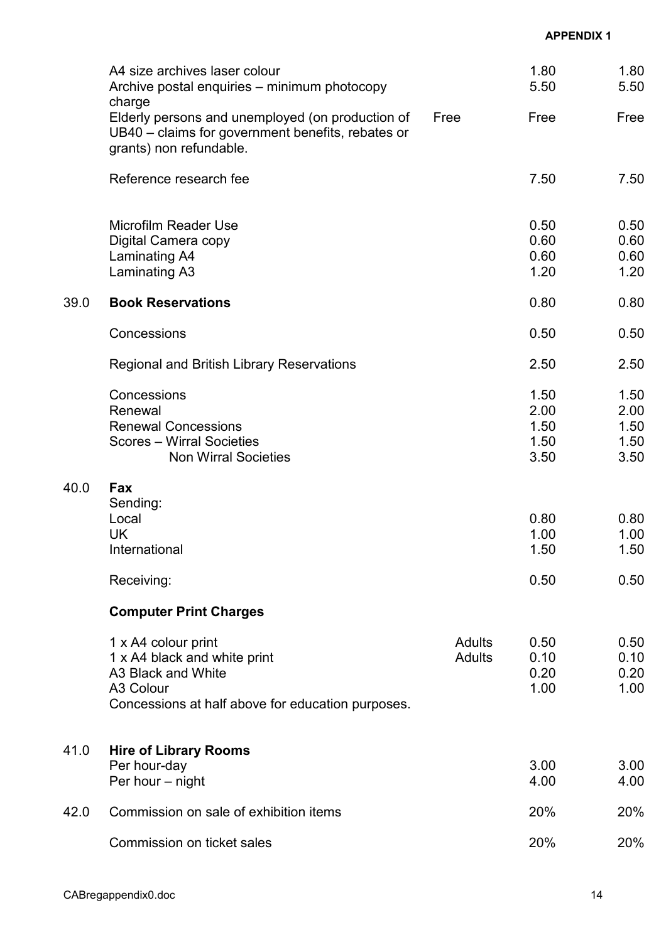|      | A4 size archives laser colour<br>Archive postal enquiries – minimum photocopy                                                               |                         | 1.80<br>5.50                         | 1.80<br>5.50                         |
|------|---------------------------------------------------------------------------------------------------------------------------------------------|-------------------------|--------------------------------------|--------------------------------------|
|      | charge<br>Elderly persons and unemployed (on production of<br>UB40 – claims for government benefits, rebates or<br>grants) non refundable.  | Free                    | Free                                 | Free                                 |
|      | Reference research fee                                                                                                                      |                         | 7.50                                 | 7.50                                 |
|      | <b>Microfilm Reader Use</b><br>Digital Camera copy<br>Laminating A4<br>Laminating A3                                                        |                         | 0.50<br>0.60<br>0.60<br>1.20         | 0.50<br>0.60<br>0.60<br>1.20         |
| 39.0 | <b>Book Reservations</b>                                                                                                                    |                         | 0.80                                 | 0.80                                 |
|      | Concessions                                                                                                                                 |                         | 0.50                                 | 0.50                                 |
|      | <b>Regional and British Library Reservations</b>                                                                                            |                         | 2.50                                 | 2.50                                 |
|      | Concessions<br>Renewal<br><b>Renewal Concessions</b><br><b>Scores - Wirral Societies</b><br><b>Non Wirral Societies</b>                     |                         | 1.50<br>2.00<br>1.50<br>1.50<br>3.50 | 1.50<br>2.00<br>1.50<br>1.50<br>3.50 |
| 40.0 | <b>Fax</b><br>Sending:<br>Local<br><b>UK</b><br>International                                                                               |                         | 0.80<br>1.00<br>1.50                 | 0.80<br>1.00<br>1.50                 |
|      | Receiving:                                                                                                                                  |                         | 0.50                                 | 0.50                                 |
|      | <b>Computer Print Charges</b>                                                                                                               |                         |                                      |                                      |
|      | 1 x A4 colour print<br>1 x A4 black and white print<br>A3 Black and White<br>A3 Colour<br>Concessions at half above for education purposes. | Adults<br><b>Adults</b> | 0.50<br>0.10<br>0.20<br>1.00         | 0.50<br>0.10<br>0.20<br>1.00         |
| 41.0 | <b>Hire of Library Rooms</b><br>Per hour-day<br>Per hour - night                                                                            |                         | 3.00<br>4.00                         | 3.00<br>4.00                         |
| 42.0 | Commission on sale of exhibition items                                                                                                      |                         | 20%                                  | 20%                                  |
|      | Commission on ticket sales                                                                                                                  |                         | 20%                                  | 20%                                  |
|      |                                                                                                                                             |                         |                                      |                                      |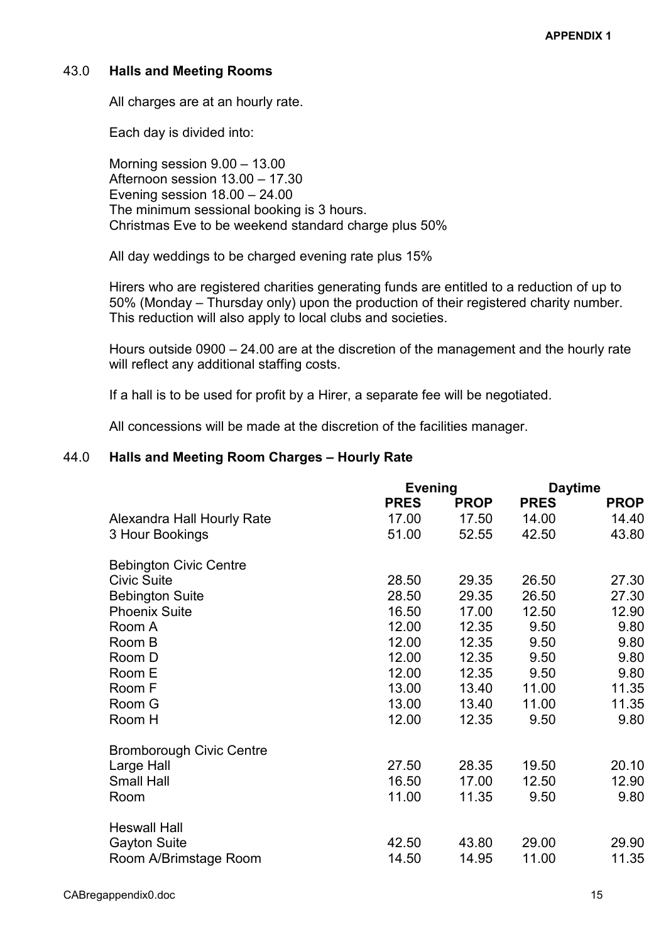## 43.0 Halls and Meeting Rooms

All charges are at an hourly rate.

Each day is divided into:

 Morning session 9.00 – 13.00 Afternoon session 13.00 – 17.30 Evening session 18.00 – 24.00 The minimum sessional booking is 3 hours. Christmas Eve to be weekend standard charge plus 50%

All day weddings to be charged evening rate plus 15%

 Hirers who are registered charities generating funds are entitled to a reduction of up to 50% (Monday – Thursday only) upon the production of their registered charity number. This reduction will also apply to local clubs and societies.

 Hours outside 0900 – 24.00 are at the discretion of the management and the hourly rate will reflect any additional staffing costs.

If a hall is to be used for profit by a Hirer, a separate fee will be negotiated.

All concessions will be made at the discretion of the facilities manager.

### 44.0 Halls and Meeting Room Charges – Hourly Rate

|             |             | <b>Daytime</b> |             |
|-------------|-------------|----------------|-------------|
| <b>PRES</b> | <b>PROP</b> | <b>PRES</b>    | <b>PROP</b> |
| 17.00       | 17.50       | 14.00          | 14.40       |
| 51.00       | 52.55       | 42.50          | 43.80       |
|             |             |                |             |
| 28.50       | 29.35       | 26.50          | 27.30       |
| 28.50       | 29.35       | 26.50          | 27.30       |
| 16.50       | 17.00       | 12.50          | 12.90       |
| 12.00       | 12.35       | 9.50           | 9.80        |
| 12.00       | 12.35       | 9.50           | 9.80        |
| 12.00       | 12.35       | 9.50           | 9.80        |
| 12.00       | 12.35       | 9.50           | 9.80        |
| 13.00       | 13.40       | 11.00          | 11.35       |
| 13.00       | 13.40       | 11.00          | 11.35       |
| 12.00       | 12.35       | 9.50           | 9.80        |
|             |             |                |             |
| 27.50       | 28.35       | 19.50          | 20.10       |
| 16.50       | 17.00       | 12.50          | 12.90       |
| 11.00       | 11.35       | 9.50           | 9.80        |
|             |             |                |             |
| 42.50       | 43.80       | 29.00          | 29.90       |
| 14.50       | 14.95       | 11.00          | 11.35       |
|             |             | <b>Evening</b> |             |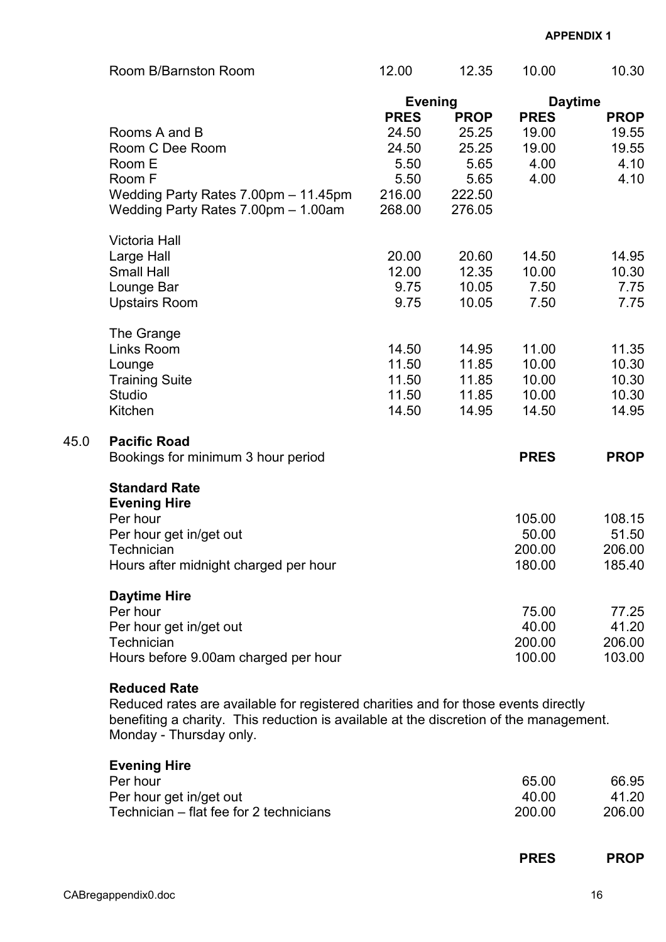|      | Room B/Barnston Room                                                                                                                                                                                                           | 12.00                                                             | 12.35                                                             | 10.00                                         | 10.30                                         |
|------|--------------------------------------------------------------------------------------------------------------------------------------------------------------------------------------------------------------------------------|-------------------------------------------------------------------|-------------------------------------------------------------------|-----------------------------------------------|-----------------------------------------------|
|      |                                                                                                                                                                                                                                | <b>Evening</b>                                                    |                                                                   | <b>Daytime</b>                                |                                               |
|      | Rooms A and B<br>Room C Dee Room<br>Room E<br>Room F<br>Wedding Party Rates 7.00pm - 11.45pm<br>Wedding Party Rates 7.00pm - 1.00am                                                                                            | <b>PRES</b><br>24.50<br>24.50<br>5.50<br>5.50<br>216.00<br>268.00 | <b>PROP</b><br>25.25<br>25.25<br>5.65<br>5.65<br>222.50<br>276.05 | <b>PRES</b><br>19.00<br>19.00<br>4.00<br>4.00 | <b>PROP</b><br>19.55<br>19.55<br>4.10<br>4.10 |
|      | Victoria Hall<br>Large Hall<br><b>Small Hall</b><br>Lounge Bar<br><b>Upstairs Room</b>                                                                                                                                         | 20.00<br>12.00<br>9.75<br>9.75                                    | 20.60<br>12.35<br>10.05<br>10.05                                  | 14.50<br>10.00<br>7.50<br>7.50                | 14.95<br>10.30<br>7.75<br>7.75                |
|      | The Grange<br>Links Room<br>Lounge<br><b>Training Suite</b><br><b>Studio</b><br>Kitchen                                                                                                                                        | 14.50<br>11.50<br>11.50<br>11.50<br>14.50                         | 14.95<br>11.85<br>11.85<br>11.85<br>14.95                         | 11.00<br>10.00<br>10.00<br>10.00<br>14.50     | 11.35<br>10.30<br>10.30<br>10.30<br>14.95     |
| 45.0 | <b>Pacific Road</b><br>Bookings for minimum 3 hour period                                                                                                                                                                      |                                                                   |                                                                   | <b>PRES</b>                                   | <b>PROP</b>                                   |
|      | <b>Standard Rate</b><br><b>Evening Hire</b><br>Per hour<br>Per hour get in/get out<br><b>Technician</b><br>Hours after midnight charged per hour                                                                               |                                                                   |                                                                   | 105.00<br>50.00<br>200.00<br>180.00           | 108.15<br>51.50<br>206.00<br>185.40           |
|      | <b>Daytime Hire</b><br>Per hour<br>Per hour get in/get out<br>Technician<br>Hours before 9.00am charged per hour                                                                                                               |                                                                   |                                                                   | 75.00<br>40.00<br>200.00<br>100.00            | 77.25<br>41.20<br>206.00<br>103.00            |
|      | <b>Reduced Rate</b><br>Reduced rates are available for registered charities and for those events directly<br>benefiting a charity. This reduction is available at the discretion of the management.<br>Monday - Thursday only. |                                                                   |                                                                   |                                               |                                               |
|      | <b>Evening Hire</b><br>Per hour<br>Per hour get in/get out<br>Technician - flat fee for 2 technicians                                                                                                                          |                                                                   |                                                                   | 65.00<br>40.00<br>200.00                      | 66.95<br>41.20<br>206.00                      |

| <b>PRES</b><br>$\sim$ |
|-----------------------|
|                       |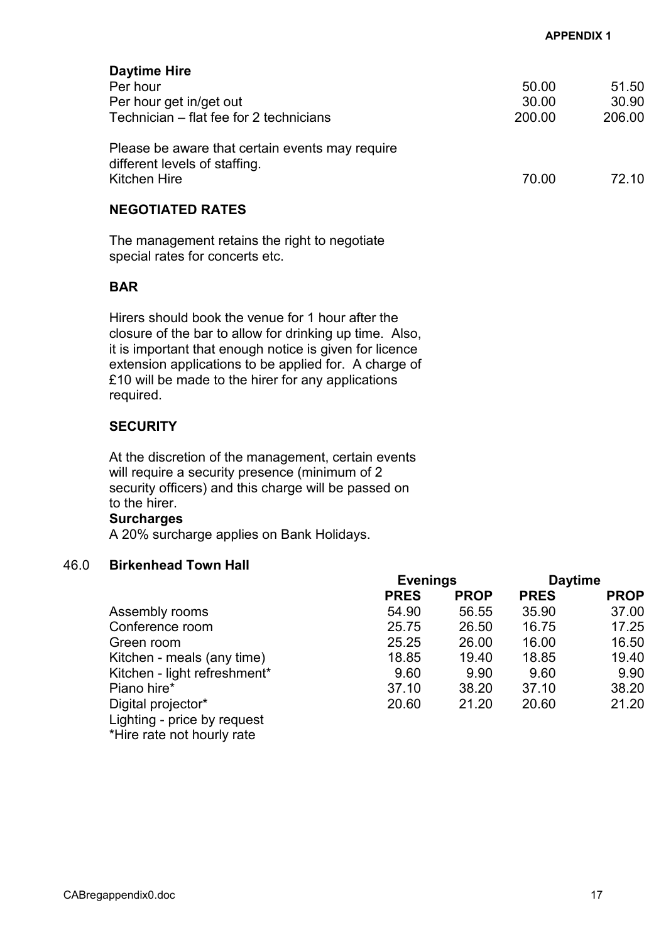Daytime Hire Per hour 51.50 Per hour get in/get out 30.00 30.90 Technician – flat fee for 2 technicians 200.00 206.00 Please be aware that certain events may require different levels of staffing.<br>Kitchen Hire Kitchen Hire 70.00 72.10 NEGOTIATED RATES

 The management retains the right to negotiate special rates for concerts etc.

# **BAR**

 Hirers should book the venue for 1 hour after the closure of the bar to allow for drinking up time. Also, it is important that enough notice is given for licence extension applications to be applied for. A charge of £10 will be made to the hirer for any applications required.

# **SECURITY**

 At the discretion of the management, certain events will require a security presence (minimum of 2 security officers) and this charge will be passed on to the hirer.

#### **Surcharges**

A 20% surcharge applies on Bank Holidays.

## 46.0 Birkenhead Town Hall

|                              | <b>Evenings</b> |             | <b>Daytime</b> |             |
|------------------------------|-----------------|-------------|----------------|-------------|
|                              | <b>PRES</b>     | <b>PROP</b> | <b>PRES</b>    | <b>PROP</b> |
| Assembly rooms               | 54.90           | 56.55       | 35.90          | 37.00       |
| Conference room              | 25.75           | 26.50       | 16.75          | 17.25       |
| Green room                   | 25.25           | 26.00       | 16.00          | 16.50       |
| Kitchen - meals (any time)   | 18.85           | 19.40       | 18.85          | 19.40       |
| Kitchen - light refreshment* | 9.60            | 9.90        | 9.60           | 9.90        |
| Piano hire*                  | 37.10           | 38.20       | 37.10          | 38.20       |
| Digital projector*           | 20.60           | 21.20       | 20.60          | 21.20       |
| Lighting - price by request  |                 |             |                |             |
| *Hire rate not hourly rate   |                 |             |                |             |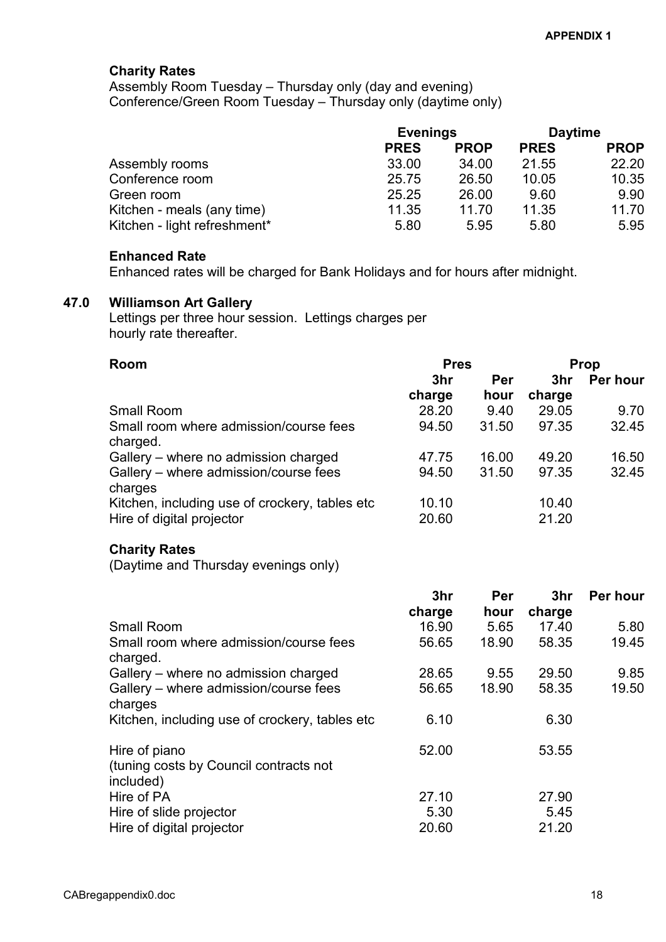## Charity Rates

 Assembly Room Tuesday – Thursday only (day and evening) Conference/Green Room Tuesday – Thursday only (daytime only)

|                              | <b>Evenings</b> |             | <b>Daytime</b> |             |
|------------------------------|-----------------|-------------|----------------|-------------|
|                              | <b>PRES</b>     | <b>PROP</b> | <b>PRES</b>    | <b>PROP</b> |
| Assembly rooms               | 33.00           | 34.00       | 21.55          | 22.20       |
| Conference room              | 25.75           | 26.50       | 10.05          | 10.35       |
| Green room                   | 25.25           | 26.00       | 9.60           | 9.90        |
| Kitchen - meals (any time)   | 11.35           | 11.70       | 11.35          | 11.70       |
| Kitchen - light refreshment* | 5.80            | 5.95        | 5.80           | 5.95        |

#### Enhanced Rate

Enhanced rates will be charged for Bank Holidays and for hours after midnight.

### 47.0 Williamson Art Gallery

 Lettings per three hour session. Lettings charges per hourly rate thereafter.

| <b>Room</b>                                                                 | <b>Pres</b>    |       | Prop            |          |
|-----------------------------------------------------------------------------|----------------|-------|-----------------|----------|
|                                                                             | 3hr            | Per   | 3 <sub>hr</sub> | Per hour |
|                                                                             | charge         | hour  | charge          |          |
| Small Room                                                                  | 28.20          | 9.40  | 29.05           | 9.70     |
| Small room where admission/course fees<br>charged.                          | 94.50          | 31.50 | 97.35           | 32.45    |
| Gallery - where no admission charged                                        | 47.75          | 16.00 | 49.20           | 16.50    |
| Gallery - where admission/course fees<br>charges                            | 94.50          | 31.50 | 97.35           | 32.45    |
| Kitchen, including use of crockery, tables etc<br>Hire of digital projector | 10.10<br>20.60 |       | 10.40<br>21.20  |          |

#### Charity Rates

(Daytime and Thursday evenings only)

|                                                                      | 3hr    | Per   | 3hr    | Per hour |
|----------------------------------------------------------------------|--------|-------|--------|----------|
|                                                                      | charge | hour  | charge |          |
| <b>Small Room</b>                                                    | 16.90  | 5.65  | 17.40  | 5.80     |
| Small room where admission/course fees<br>charged.                   | 56.65  | 18.90 | 58.35  | 19.45    |
| Gallery – where no admission charged                                 | 28.65  | 9.55  | 29.50  | 9.85     |
| Gallery – where admission/course fees<br>charges                     | 56.65  | 18.90 | 58.35  | 19.50    |
| Kitchen, including use of crockery, tables etc.                      | 6.10   |       | 6.30   |          |
| Hire of piano<br>(tuning costs by Council contracts not<br>included) | 52.00  |       | 53.55  |          |
| Hire of PA                                                           | 27.10  |       | 27.90  |          |
| Hire of slide projector                                              | 5.30   |       | 5.45   |          |
| Hire of digital projector                                            | 20.60  |       | 21.20  |          |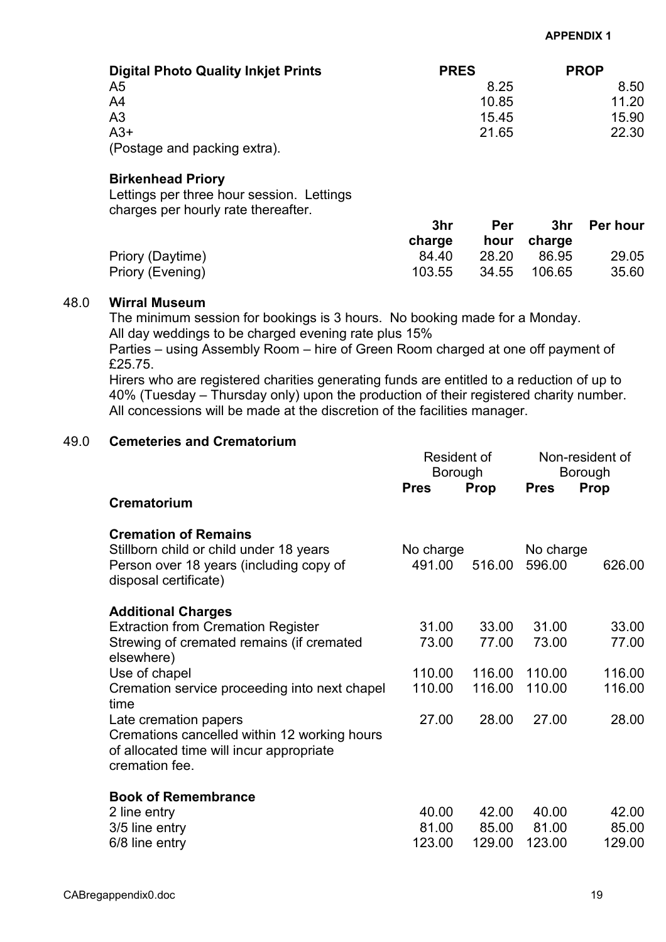| <b>Digital Photo Quality Inkjet Prints</b> | <b>PRES</b> | <b>PROP</b> |
|--------------------------------------------|-------------|-------------|
| A5                                         | 8.25        | 8.50        |
| A4                                         | 10.85       | 11.20       |
| A3                                         | 15.45       | 15.90       |
| $A3+$                                      | 21.65       | 22.30       |
| (Postage and packing extra).               |             |             |

### Birkenhead Priory

 Lettings per three hour session. Lettings charges per hourly rate thereafter.

|                  | 3hr<br>charge | <b>Per</b> | hour charge | 3hr Perhour |
|------------------|---------------|------------|-------------|-------------|
| Priory (Daytime) | 84.40         | 28.20      | 86.95       | 29.05       |
| Priory (Evening) | 103.55        | 34.55      | 106.65      | 35.60       |

#### 48.0 Wirral Museum

 The minimum session for bookings is 3 hours. No booking made for a Monday. All day weddings to be charged evening rate plus 15%

Parties – using Assembly Room – hire of Green Room charged at one off payment of £25.75.

Hirers who are registered charities generating funds are entitled to a reduction of up to 40% (Tuesday – Thursday only) upon the production of their registered charity number. All concessions will be made at the discretion of the facilities manager.

# 49.0 Cemeteries and Crematorium

|                                                                                                                                            | Resident of<br>Borough |             | Non-resident of<br>Borough |        |
|--------------------------------------------------------------------------------------------------------------------------------------------|------------------------|-------------|----------------------------|--------|
| Crematorium                                                                                                                                | <b>Pres</b>            | <b>Prop</b> | <b>Pres</b>                | Prop   |
|                                                                                                                                            |                        |             |                            |        |
| <b>Cremation of Remains</b><br>Stillborn child or child under 18 years<br>Person over 18 years (including copy of<br>disposal certificate) | No charge<br>491.00    | 516.00      | No charge<br>596.00        | 626.00 |
| <b>Additional Charges</b>                                                                                                                  |                        |             |                            |        |
| <b>Extraction from Cremation Register</b>                                                                                                  | 31.00                  | 33.00       | 31.00                      | 33.00  |
| Strewing of cremated remains (if cremated<br>elsewhere)                                                                                    | 73.00                  | 77.00       | 73.00                      | 77.00  |
| Use of chapel                                                                                                                              | 110.00                 | 116.00      | 110.00                     | 116.00 |
| Cremation service proceeding into next chapel<br>time                                                                                      | 110.00                 | 116.00      | 110.00                     | 116.00 |
| Late cremation papers<br>Cremations cancelled within 12 working hours<br>of allocated time will incur appropriate<br>cremation fee.        | 27.00                  | 28.00       | 27.00                      | 28.00  |
| <b>Book of Remembrance</b>                                                                                                                 |                        |             |                            |        |
| 2 line entry                                                                                                                               | 40.00                  | 42.00       | 40.00                      | 42.00  |
| 3/5 line entry                                                                                                                             | 81.00                  | 85.00       | 81.00                      | 85.00  |
| 6/8 line entry                                                                                                                             | 123.00                 | 129.00      | 123.00                     | 129.00 |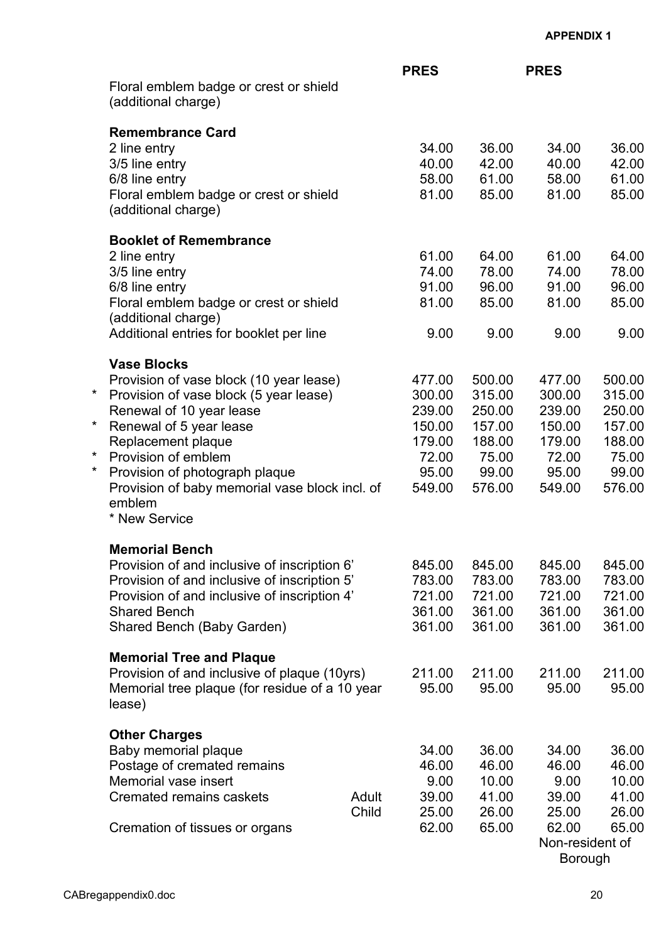|          |                                                                                                          |       | <b>PRES</b>      |                  | <b>PRES</b>      |                  |
|----------|----------------------------------------------------------------------------------------------------------|-------|------------------|------------------|------------------|------------------|
|          | Floral emblem badge or crest or shield<br>(additional charge)                                            |       |                  |                  |                  |                  |
|          | <b>Remembrance Card</b>                                                                                  |       |                  |                  |                  |                  |
|          | 2 line entry                                                                                             |       | 34.00            | 36.00            | 34.00            | 36.00            |
|          | 3/5 line entry                                                                                           |       | 40.00            | 42.00            | 40.00            | 42.00            |
|          | 6/8 line entry                                                                                           |       | 58.00            | 61.00            | 58.00            | 61.00            |
|          | Floral emblem badge or crest or shield<br>(additional charge)                                            |       | 81.00            | 85.00            | 81.00            | 85.00            |
|          | <b>Booklet of Remembrance</b>                                                                            |       |                  |                  |                  |                  |
|          | 2 line entry                                                                                             |       | 61.00            | 64.00            | 61.00            | 64.00            |
|          | 3/5 line entry                                                                                           |       | 74.00            | 78.00            | 74.00            | 78.00            |
|          | 6/8 line entry                                                                                           |       | 91.00            | 96.00            | 91.00            | 96.00            |
|          | Floral emblem badge or crest or shield<br>(additional charge)                                            |       | 81.00            | 85.00            | 81.00            | 85.00            |
|          | Additional entries for booklet per line                                                                  |       | 9.00             | 9.00             | 9.00             | 9.00             |
|          | <b>Vase Blocks</b>                                                                                       |       |                  |                  |                  |                  |
| $^\star$ | Provision of vase block (10 year lease)                                                                  |       | 477.00           | 500.00           | 477.00           | 500.00           |
|          | Provision of vase block (5 year lease)                                                                   |       | 300.00           | 315.00           | 300.00           | 315.00           |
| $\star$  | Renewal of 10 year lease                                                                                 |       | 239.00<br>150.00 | 250.00<br>157.00 | 239.00<br>150.00 | 250.00<br>157.00 |
|          | Renewal of 5 year lease<br>Replacement plaque                                                            |       | 179.00           | 188.00           | 179.00           | 188.00           |
| $\star$  | Provision of emblem                                                                                      |       | 72.00            | 75.00            | 72.00            | 75.00            |
| $\star$  | Provision of photograph plaque                                                                           |       | 95.00            | 99.00            | 95.00            | 99.00            |
|          | Provision of baby memorial vase block incl. of<br>emblem<br>* New Service                                |       | 549.00           | 576.00           | 549.00           | 576.00           |
|          |                                                                                                          |       |                  |                  |                  |                  |
|          | <b>Memorial Bench</b>                                                                                    |       |                  |                  |                  |                  |
|          | Provision of and inclusive of inscription 6'                                                             |       | 845.00           | 845.00           | 845.00           | 845.00           |
|          | Provision of and inclusive of inscription 5'                                                             |       | 783.00           | 783.00<br>721.00 | 783.00           | 783.00           |
|          | Provision of and inclusive of inscription 4'<br><b>Shared Bench</b>                                      |       | 721.00<br>361.00 | 361.00           | 721.00<br>361.00 | 721.00<br>361.00 |
|          | Shared Bench (Baby Garden)                                                                               |       | 361.00           | 361.00           | 361.00           | 361.00           |
|          |                                                                                                          |       |                  |                  |                  |                  |
|          | <b>Memorial Tree and Plaque</b>                                                                          |       |                  |                  |                  |                  |
|          | Provision of and inclusive of plaque (10yrs)<br>Memorial tree plaque (for residue of a 10 year<br>lease) |       | 211.00<br>95.00  | 211.00<br>95.00  | 211.00<br>95.00  | 211.00<br>95.00  |
|          |                                                                                                          |       |                  |                  |                  |                  |
|          | <b>Other Charges</b><br>Baby memorial plaque                                                             |       | 34.00            | 36.00            | 34.00            | 36.00            |
|          | Postage of cremated remains                                                                              |       | 46.00            | 46.00            | 46.00            | 46.00            |
|          | Memorial vase insert                                                                                     |       | 9.00             | 10.00            | 9.00             | 10.00            |
|          | Cremated remains caskets                                                                                 | Adult | 39.00            | 41.00            | 39.00            | 41.00            |
|          |                                                                                                          | Child | 25.00            | 26.00            | 25.00            | 26.00            |
|          | Cremation of tissues or organs                                                                           |       | 62.00            | 65.00            | 62.00            | 65.00            |
|          |                                                                                                          |       |                  |                  | Non-resident of  |                  |
|          |                                                                                                          |       |                  |                  | Borough          |                  |

CABregappendix0.doc 20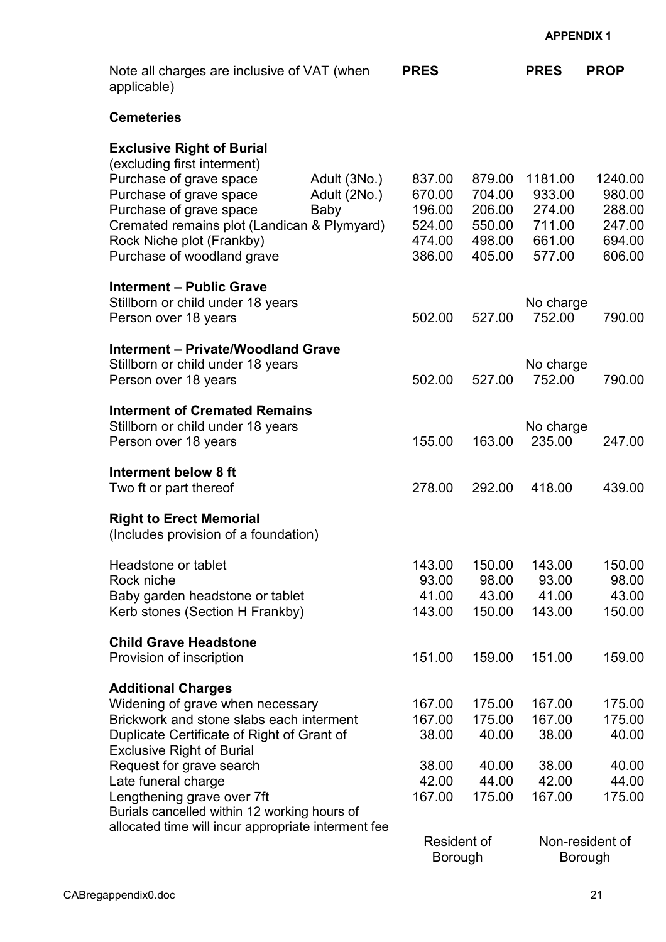| Note all charges are inclusive of VAT (when<br>applicable)                                                                                                                                                                                                                                                                                                                          |                                      | <b>PRES</b>                                                          |                                                          | <b>PRES</b>                                               | <b>PROP</b>                                                              |
|-------------------------------------------------------------------------------------------------------------------------------------------------------------------------------------------------------------------------------------------------------------------------------------------------------------------------------------------------------------------------------------|--------------------------------------|----------------------------------------------------------------------|----------------------------------------------------------|-----------------------------------------------------------|--------------------------------------------------------------------------|
| <b>Cemeteries</b>                                                                                                                                                                                                                                                                                                                                                                   |                                      |                                                                      |                                                          |                                                           |                                                                          |
| <b>Exclusive Right of Burial</b><br>(excluding first interment)<br>Purchase of grave space<br>Purchase of grave space<br>Purchase of grave space<br>Cremated remains plot (Landican & Plymyard)<br>Rock Niche plot (Frankby)<br>Purchase of woodland grave                                                                                                                          | Adult (3No.)<br>Adult (2No.)<br>Baby | 837.00<br>670.00<br>196.00<br>524.00<br>474.00<br>386.00             | 879.00<br>704.00<br>206.00<br>550.00<br>498.00<br>405.00 | 1181.00<br>933.00<br>274.00<br>711.00<br>661.00<br>577.00 | 1240.00<br>980.00<br>288.00<br>247.00<br>694.00<br>606.00                |
| <b>Interment - Public Grave</b><br>Stillborn or child under 18 years<br>Person over 18 years                                                                                                                                                                                                                                                                                        |                                      | 502.00                                                               | 527.00                                                   | No charge<br>752.00                                       | 790.00                                                                   |
| <b>Interment - Private/Woodland Grave</b><br>Stillborn or child under 18 years<br>Person over 18 years                                                                                                                                                                                                                                                                              |                                      | 502.00                                                               | 527.00                                                   | No charge<br>752.00                                       | 790.00                                                                   |
| <b>Interment of Cremated Remains</b><br>Stillborn or child under 18 years<br>Person over 18 years                                                                                                                                                                                                                                                                                   |                                      | 155.00                                                               | 163.00                                                   | No charge<br>235.00                                       | 247.00                                                                   |
| Interment below 8 ft<br>Two ft or part thereof                                                                                                                                                                                                                                                                                                                                      |                                      | 278.00                                                               | 292.00                                                   | 418.00                                                    | 439.00                                                                   |
| <b>Right to Erect Memorial</b><br>(Includes provision of a foundation)                                                                                                                                                                                                                                                                                                              |                                      |                                                                      |                                                          |                                                           |                                                                          |
| Headstone or tablet<br>Rock niche<br>Baby garden headstone or tablet<br>Kerb stones (Section H Frankby)                                                                                                                                                                                                                                                                             |                                      | 143.00<br>93.00<br>41.00<br>143.00                                   | 150.00<br>98.00<br>43.00<br>150.00                       | 143.00<br>93.00<br>41.00<br>143.00                        | 150.00<br>98.00<br>43.00<br>150.00                                       |
| <b>Child Grave Headstone</b><br>Provision of inscription                                                                                                                                                                                                                                                                                                                            |                                      | 151.00                                                               | 159.00                                                   | 151.00                                                    | 159.00                                                                   |
| <b>Additional Charges</b><br>Widening of grave when necessary<br>Brickwork and stone slabs each interment<br>Duplicate Certificate of Right of Grant of<br><b>Exclusive Right of Burial</b><br>Request for grave search<br>Late funeral charge<br>Lengthening grave over 7ft<br>Burials cancelled within 12 working hours of<br>allocated time will incur appropriate interment fee |                                      | 167.00<br>167.00<br>38.00<br>38.00<br>42.00<br>167.00<br>Resident of | 175.00<br>175.00<br>40.00<br>40.00<br>44.00<br>175.00    | 167.00<br>167.00<br>38.00<br>38.00<br>42.00<br>167.00     | 175.00<br>175.00<br>40.00<br>40.00<br>44.00<br>175.00<br>Non-resident of |
|                                                                                                                                                                                                                                                                                                                                                                                     |                                      | Borough                                                              |                                                          |                                                           | Borough                                                                  |